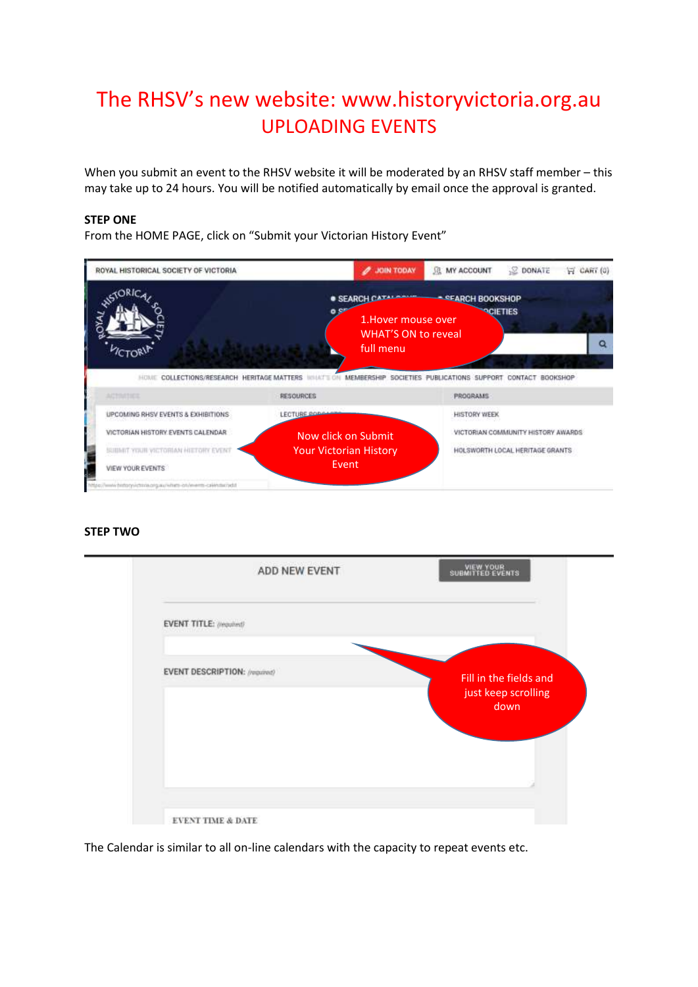## The RHSV's new website: www.historyvictoria.org.au UPLOADING EVENTS

When you submit an event to the RHSV website it will be moderated by an RHSV staff member – this may take up to 24 hours. You will be notified automatically by email once the approval is granted.

## **STEP ONE**

From the HOME PAGE, click on "Submit your Victorian History Event"



## **STEP TWO**



The Calendar is similar to all on-line calendars with the capacity to repeat events etc.